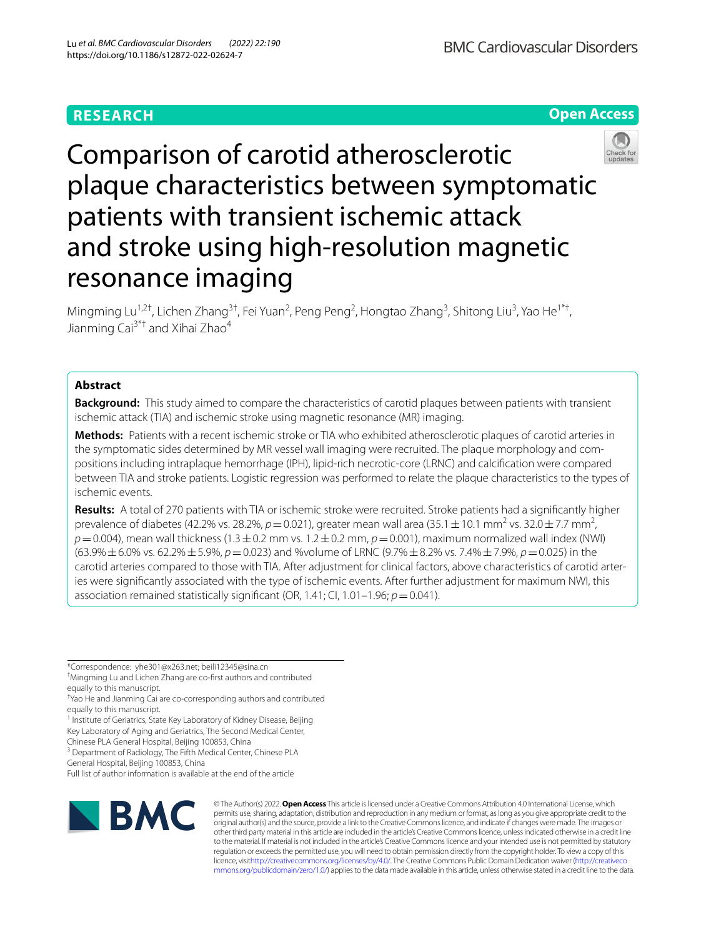# **RESEARCH**

**Open Access**

# Comparison of carotid atherosclerotic plaque characteristics between symptomatic patients with transient ischemic attack and stroke using high-resolution magnetic resonance imaging

Mingming Lu<sup>1,2†</sup>, Lichen Zhang<sup>3†</sup>, Fei Yuan<sup>2</sup>, Peng Peng<sup>2</sup>, Hongtao Zhang<sup>3</sup>, Shitong Liu<sup>3</sup>, Yao He<sup>1\*†</sup>, Jianming Cai<sup>3\*†</sup> and Xihai Zhao<sup>4</sup>

## **Abstract**

**Background:** This study aimed to compare the characteristics of carotid plaques between patients with transient ischemic attack (TIA) and ischemic stroke using magnetic resonance (MR) imaging.

**Methods:** Patients with a recent ischemic stroke or TIA who exhibited atherosclerotic plaques of carotid arteries in the symptomatic sides determined by MR vessel wall imaging were recruited. The plaque morphology and compositions including intraplaque hemorrhage (IPH), lipid-rich necrotic-core (LRNC) and calcifcation were compared between TIA and stroke patients. Logistic regression was performed to relate the plaque characteristics to the types of ischemic events.

**Results:** A total of 270 patients with TIA or ischemic stroke were recruited. Stroke patients had a signifcantly higher prevalence of diabetes (42.2% vs. 28.2%,  $p = 0.021$ ), greater mean wall area (35.1  $\pm$  10.1 mm<sup>2</sup> vs. 32.0  $\pm$  7.7 mm<sup>2</sup>,  $p=0.004$ ), mean wall thickness (1.3 $\pm$ 0.2 mm vs. 1.2 $\pm$ 0.2 mm,  $p=0.001$ ), maximum normalized wall index (NWI) (63.9%±6.0% vs. 62.2%±5.9%, *p*=0.023) and %volume of LRNC (9.7%±8.2% vs. 7.4%±7.9%, *p*=0.025) in the carotid arteries compared to those with TIA. After adjustment for clinical factors, above characteristics of carotid arteries were signifcantly associated with the type of ischemic events. After further adjustment for maximum NWI, this association remained statistically significant (OR, 1.41; CI, 1.01–1.96;  $p = 0.041$ ).

\*Correspondence: yhe301@x263.net; beili12345@sina.cn

† Mingming Lu and Lichen Zhang are co-frst authors and contributed equally to this manuscript.

† Yao He and Jianming Cai are co-corresponding authors and contributed equally to this manuscript.

<sup>1</sup> Institute of Geriatrics, State Key Laboratory of Kidney Disease, Beijing

Key Laboratory of Aging and Geriatrics, The Second Medical Center,

Chinese PLA General Hospital, Beijing 100853, China <sup>3</sup> Department of Radiology, The Fifth Medical Center, Chinese PLA

General Hospital, Beijing 100853, China

Full list of author information is available at the end of the article



© The Author(s) 2022. **Open Access** This article is licensed under a Creative Commons Attribution 4.0 International License, which permits use, sharing, adaptation, distribution and reproduction in any medium or format, as long as you give appropriate credit to the original author(s) and the source, provide a link to the Creative Commons licence, and indicate if changes were made. The images or other third party material in this article are included in the article's Creative Commons licence, unless indicated otherwise in a credit line to the material. If material is not included in the article's Creative Commons licence and your intended use is not permitted by statutory regulation or exceeds the permitted use, you will need to obtain permission directly from the copyright holder. To view a copy of this licence, visi[thttp://creativecommons.org/licenses/by/4.0/](http://creativecommons.org/licenses/by/4.0/). The Creative Commons Public Domain Dedication waiver [\(http://creativeco](http://creativecommons.org/publicdomain/zero/1.0/) [mmons.org/publicdomain/zero/1.0/](http://creativecommons.org/publicdomain/zero/1.0/)) applies to the data made available in this article, unless otherwise stated in a credit line to the data.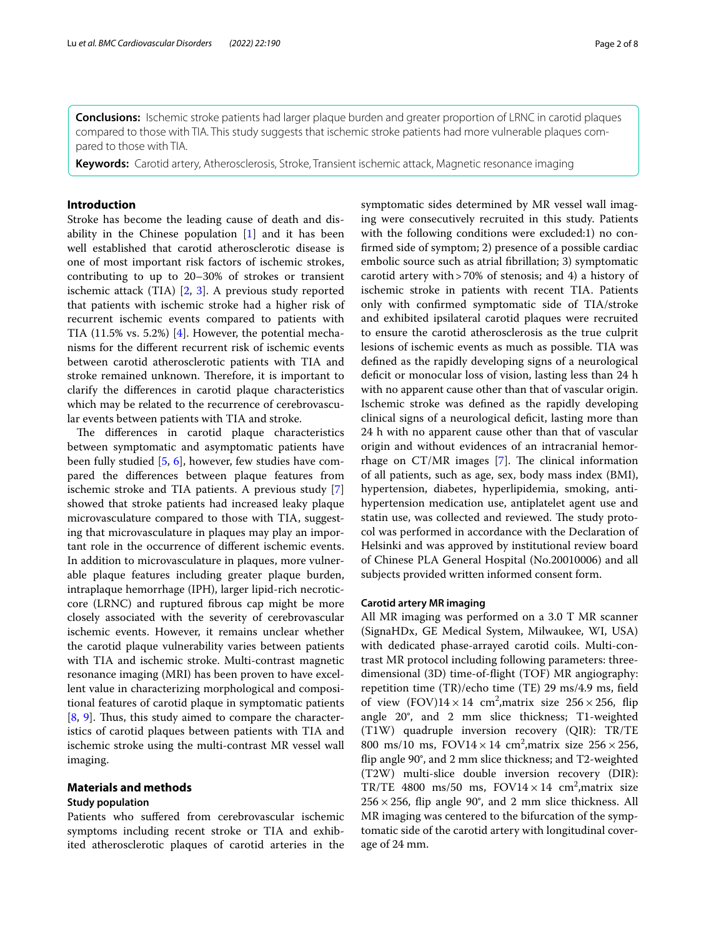**Conclusions:** Ischemic stroke patients had larger plaque burden and greater proportion of LRNC in carotid plaques compared to those with TIA. This study suggests that ischemic stroke patients had more vulnerable plaques compared to those with TIA.

**Keywords:** Carotid artery, Atherosclerosis, Stroke, Transient ischemic attack, Magnetic resonance imaging

## **Introduction**

Stroke has become the leading cause of death and disability in the Chinese population [\[1](#page-6-0)] and it has been well established that carotid atherosclerotic disease is one of most important risk factors of ischemic strokes, contributing to up to 20–30% of strokes or transient ischemic attack (TIA) [\[2,](#page-6-1) [3\]](#page-6-2). A previous study reported that patients with ischemic stroke had a higher risk of recurrent ischemic events compared to patients with TIA  $(11.5\% \text{ vs. } 5.2\%)$  [\[4](#page-7-0)]. However, the potential mechanisms for the diferent recurrent risk of ischemic events between carotid atherosclerotic patients with TIA and stroke remained unknown. Therefore, it is important to clarify the diferences in carotid plaque characteristics which may be related to the recurrence of cerebrovascular events between patients with TIA and stroke.

The differences in carotid plaque characteristics between symptomatic and asymptomatic patients have been fully studied [\[5](#page-7-1), [6](#page-7-2)], however, few studies have compared the diferences between plaque features from ischemic stroke and TIA patients. A previous study [\[7](#page-7-3)] showed that stroke patients had increased leaky plaque microvasculature compared to those with TIA, suggesting that microvasculature in plaques may play an important role in the occurrence of diferent ischemic events. In addition to microvasculature in plaques, more vulnerable plaque features including greater plaque burden, intraplaque hemorrhage (IPH), larger lipid-rich necroticcore (LRNC) and ruptured fbrous cap might be more closely associated with the severity of cerebrovascular ischemic events. However, it remains unclear whether the carotid plaque vulnerability varies between patients with TIA and ischemic stroke. Multi-contrast magnetic resonance imaging (MRI) has been proven to have excellent value in characterizing morphological and compositional features of carotid plaque in symptomatic patients  $[8, 9]$  $[8, 9]$  $[8, 9]$  $[8, 9]$  $[8, 9]$ . Thus, this study aimed to compare the characteristics of carotid plaques between patients with TIA and ischemic stroke using the multi-contrast MR vessel wall imaging.

## **Materials and methods**

#### **Study population**

Patients who sufered from cerebrovascular ischemic symptoms including recent stroke or TIA and exhibited atherosclerotic plaques of carotid arteries in the

symptomatic sides determined by MR vessel wall imaging were consecutively recruited in this study. Patients with the following conditions were excluded:1) no confrmed side of symptom; 2) presence of a possible cardiac embolic source such as atrial fbrillation; 3) symptomatic carotid artery with>70% of stenosis; and 4) a history of ischemic stroke in patients with recent TIA. Patients only with confrmed symptomatic side of TIA/stroke and exhibited ipsilateral carotid plaques were recruited to ensure the carotid atherosclerosis as the true culprit lesions of ischemic events as much as possible. TIA was defned as the rapidly developing signs of a neurological deficit or monocular loss of vision, lasting less than 24 h with no apparent cause other than that of vascular origin. Ischemic stroke was defned as the rapidly developing clinical signs of a neurological defcit, lasting more than 24 h with no apparent cause other than that of vascular origin and without evidences of an intracranial hemorrhage on  $CT/MR$  images [[7\]](#page-7-3). The clinical information of all patients, such as age, sex, body mass index (BMI), hypertension, diabetes, hyperlipidemia, smoking, antihypertension medication use, antiplatelet agent use and statin use, was collected and reviewed. The study protocol was performed in accordance with the Declaration of Helsinki and was approved by institutional review board of Chinese PLA General Hospital (No.20010006) and all subjects provided written informed consent form.

## **Carotid artery MR imaging**

All MR imaging was performed on a 3.0 T MR scanner (SignaHDx, GE Medical System, Milwaukee, WI, USA) with dedicated phase-arrayed carotid coils. Multi-contrast MR protocol including following parameters: threedimensional (3D) time-of-fight (TOF) MR angiography: repetition time (TR)/echo time (TE) 29 ms/4.9 ms, feld of view  $(FOV)14 \times 14$  cm<sup>2</sup>, matrix size 256 × 256, flip angle 20°, and 2 mm slice thickness; T1-weighted (T1W) quadruple inversion recovery (QIR): TR/TE 800 ms/10 ms,  $FOV14 \times 14$  cm<sup>2</sup>, matrix size  $256 \times 256$ , fip angle 90°, and 2 mm slice thickness; and T2-weighted (T2W) multi-slice double inversion recovery (DIR): TR/TE 4800 ms/50 ms,  $FOV14 \times 14$  cm<sup>2</sup>, matrix size  $256 \times 256$ , flip angle 90°, and 2 mm slice thickness. All MR imaging was centered to the bifurcation of the symptomatic side of the carotid artery with longitudinal coverage of 24 mm.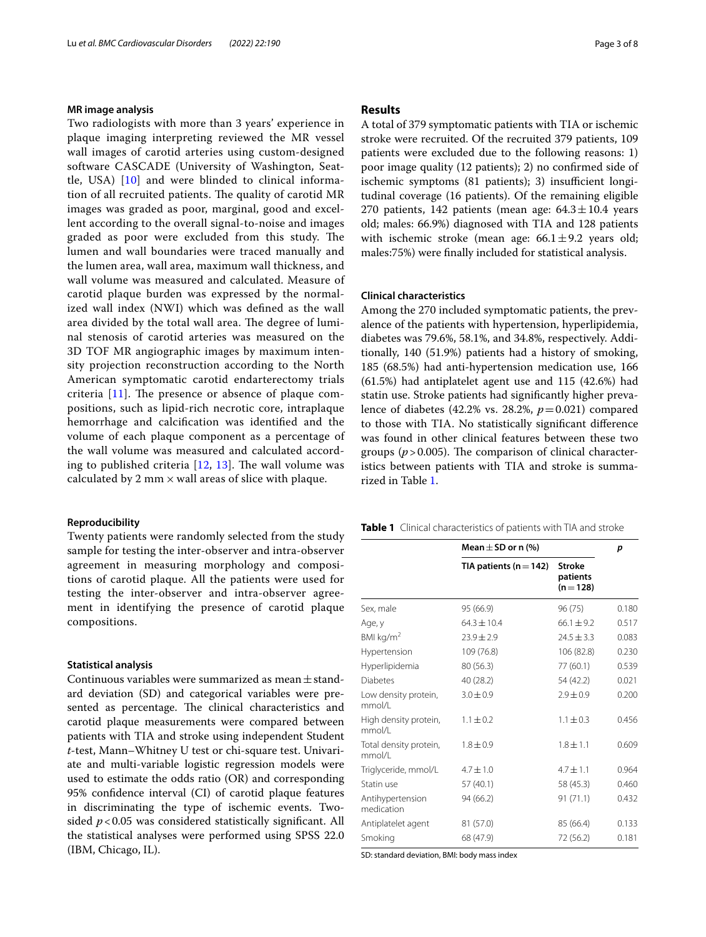## **MR image analysis**

Two radiologists with more than 3 years' experience in plaque imaging interpreting reviewed the MR vessel wall images of carotid arteries using custom-designed software CASCADE (University of Washington, Seattle, USA) [\[10](#page-7-6)] and were blinded to clinical information of all recruited patients. The quality of carotid MR images was graded as poor, marginal, good and excellent according to the overall signal-to-noise and images graded as poor were excluded from this study. The lumen and wall boundaries were traced manually and the lumen area, wall area, maximum wall thickness, and wall volume was measured and calculated. Measure of carotid plaque burden was expressed by the normalized wall index (NWI) which was defned as the wall area divided by the total wall area. The degree of luminal stenosis of carotid arteries was measured on the 3D TOF MR angiographic images by maximum intensity projection reconstruction according to the North American symptomatic carotid endarterectomy trials criteria  $[11]$  $[11]$ . The presence or absence of plaque compositions, such as lipid-rich necrotic core, intraplaque hemorrhage and calcifcation was identifed and the volume of each plaque component as a percentage of the wall volume was measured and calculated according to published criteria  $[12, 13]$  $[12, 13]$  $[12, 13]$  $[12, 13]$  $[12, 13]$ . The wall volume was calculated by 2 mm  $\times$  wall areas of slice with plaque.

## **Reproducibility**

Twenty patients were randomly selected from the study sample for testing the inter-observer and intra-observer agreement in measuring morphology and compositions of carotid plaque. All the patients were used for testing the inter-observer and intra-observer agreement in identifying the presence of carotid plaque compositions.

## **Statistical analysis**

Continuous variables were summarized as mean $\pm$ standard deviation (SD) and categorical variables were presented as percentage. The clinical characteristics and carotid plaque measurements were compared between patients with TIA and stroke using independent Student *t*-test, Mann–Whitney U test or chi-square test. Univariate and multi-variable logistic regression models were used to estimate the odds ratio (OR) and corresponding 95% confdence interval (CI) of carotid plaque features in discriminating the type of ischemic events. Twosided  $p < 0.05$  was considered statistically significant. All the statistical analyses were performed using SPSS 22.0 (IBM, Chicago, IL).

## **Results**

A total of 379 symptomatic patients with TIA or ischemic stroke were recruited. Of the recruited 379 patients, 109 patients were excluded due to the following reasons: 1) poor image quality (12 patients); 2) no confrmed side of ischemic symptoms (81 patients); 3) insufficient longitudinal coverage (16 patients). Of the remaining eligible 270 patients, 142 patients (mean age:  $64.3 \pm 10.4$  years old; males: 66.9%) diagnosed with TIA and 128 patients with ischemic stroke (mean age:  $66.1 \pm 9.2$  years old; males:75%) were fnally included for statistical analysis.

## **Clinical characteristics**

Among the 270 included symptomatic patients, the prevalence of the patients with hypertension, hyperlipidemia, diabetes was 79.6%, 58.1%, and 34.8%, respectively. Additionally, 140 (51.9%) patients had a history of smoking, 185 (68.5%) had anti-hypertension medication use, 166 (61.5%) had antiplatelet agent use and 115 (42.6%) had statin use. Stroke patients had signifcantly higher prevalence of diabetes (42.2% vs. 28.2%, *p*=0.021) compared to those with TIA. No statistically signifcant diference was found in other clinical features between these two groups  $(p > 0.005)$ . The comparison of clinical characteristics between patients with TIA and stroke is summarized in Table [1.](#page-2-0)

<span id="page-2-0"></span>**Table 1** Clinical characteristics of patients with TIA and stroke

|                                  | Mean $\pm$ SD or n (%)     | p                                      |       |  |
|----------------------------------|----------------------------|----------------------------------------|-------|--|
|                                  | TIA patients ( $n = 142$ ) | <b>Stroke</b><br>patients<br>$(n=128)$ |       |  |
| Sex, male                        | 95 (66.9)                  | 96 (75)                                | 0.180 |  |
| Age, y                           | $64.3 + 10.4$              | $66.1 + 9.2$                           | 0.517 |  |
| BMI kg/ $m2$                     | $23.9 \pm 2.9$             | $24.5 \pm 3.3$                         | 0.083 |  |
| Hypertension                     | 109 (76.8)                 | 106 (82.8)                             | 0.230 |  |
| Hyperlipidemia                   | 80 (56.3)                  | 77 (60.1)                              | 0.539 |  |
| <b>Diabetes</b>                  | 40 (28.2)                  | 54 (42.2)                              | 0.021 |  |
| Low density protein,<br>mmol/l   | $3.0 \pm 0.9$              | $2.9 \pm 0.9$                          | 0.200 |  |
| High density protein,<br>mmol/l  | $1.1 \pm 0.2$              | $1.1 \pm 0.3$                          | 0.456 |  |
| Total density protein,<br>mmol/l | $1.8 \pm 0.9$              | $1.8 \pm 1.1$                          | 0.609 |  |
| Triglyceride, mmol/L             | $4.7 \pm 1.0$              | $4.7 \pm 1.1$                          | 0.964 |  |
| Statin use                       | 57 (40.1)                  | 58 (45.3)                              | 0.460 |  |
| Antihypertension<br>medication   | 94 (66.2)                  | 91 (71.1)                              | 0.432 |  |
| Antiplatelet agent               | 81 (57.0)                  | 85 (66.4)                              | 0.133 |  |
| Smoking                          | 68 (47.9)                  | 72 (56.2)                              | 0.181 |  |

SD: standard deviation, BMI: body mass index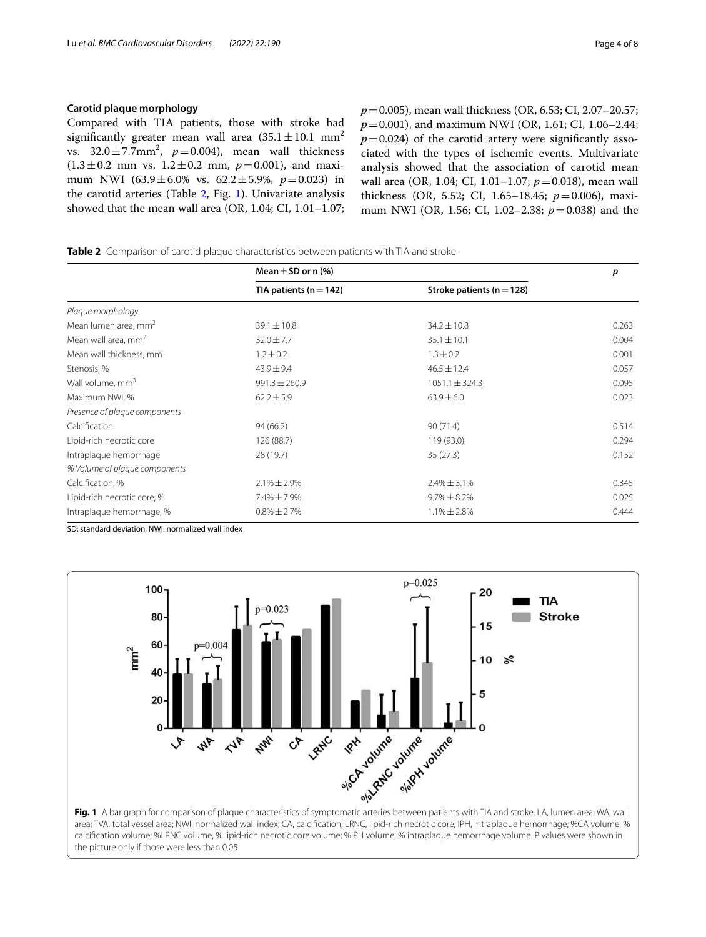## **Carotid plaque morphology**

Compared with TIA patients, those with stroke had significantly greater mean wall area  $(35.1 \pm 10.1 \text{ mm}^2)$ vs.  $32.0 \pm 7.7$ mm<sup>2</sup>,  $p=0.004$ ), mean wall thickness  $(1.3 \pm 0.2 \text{ mm} \text{ vs. } 1.2 \pm 0.2 \text{ mm}, p=0.001)$ , and maximum NWI (63.9±6.0% vs. 62.2±5.9%, *p*=0.023) in the carotid arteries (Table [2](#page-3-0), Fig. [1](#page-3-1)). Univariate analysis showed that the mean wall area (OR, 1.04; CI, 1.01–1.07;

*p*=0.005), mean wall thickness (OR, 6.53; CI, 2.07–20.57; *p*=0.001), and maximum NWI (OR, 1.61; CI, 1.06–2.44;  $p=0.024$ ) of the carotid artery were significantly associated with the types of ischemic events. Multivariate analysis showed that the association of carotid mean wall area (OR, 1.04; CI, 1.01-1.07;  $p = 0.018$ ), mean wall thickness (OR, 5.52; CI, 1.65–18.45; *p*=0.006), maximum NWI (OR, 1.56; CI, 1.02–2.38; *p*=0.038) and the

<span id="page-3-0"></span>**Table 2** Comparison of carotid plaque characteristics between patients with TIA and stroke

|                                  | Mean $\pm$ SD or n (%) |                               | p     |  |
|----------------------------------|------------------------|-------------------------------|-------|--|
|                                  | TIA patients $(n=142)$ | Stroke patients ( $n = 128$ ) |       |  |
| Plaque morphology                |                        |                               |       |  |
| Mean lumen area, mm <sup>2</sup> | $39.1 \pm 10.8$        | $34.2 \pm 10.8$               | 0.263 |  |
| Mean wall area, $mm2$            | $32.0 \pm 7.7$         | $35.1 \pm 10.1$               | 0.004 |  |
| Mean wall thickness, mm          | $1.2 \pm 0.2$          | $1.3 \pm 0.2$                 | 0.001 |  |
| Stenosis, %                      | $43.9 \pm 9.4$         | $46.5 \pm 12.4$               | 0.057 |  |
| Wall volume, mm <sup>3</sup>     | $991.3 \pm 260.9$      | $1051.1 \pm 324.3$            | 0.095 |  |
| Maximum NWI, %                   | $62.2 \pm 5.9$         | $63.9 \pm 6.0$                | 0.023 |  |
| Presence of plaque components    |                        |                               |       |  |
| Calcification                    | 94 (66.2)              | 90(71.4)                      | 0.514 |  |
| Lipid-rich necrotic core         | 126 (88.7)             | 119 (93.0)                    | 0.294 |  |
| Intraplaque hemorrhage           | 28 (19.7)              | 35(27.3)                      | 0.152 |  |
| % Volume of plaque components    |                        |                               |       |  |
| Calcification, %                 | $2.1\% \pm 2.9\%$      | $2.4\% \pm 3.1\%$             | 0.345 |  |
| Lipid-rich necrotic core, %      | 7.4%±7.9%              | $9.7\% \pm 8.2\%$             | 0.025 |  |
| Intraplaque hemorrhage, %        | $0.8\% \pm 2.7\%$      | $1.1\% \pm 2.8\%$             | 0.444 |  |

SD: standard deviation, NWI: normalized wall index



<span id="page-3-1"></span>area; TVA, total vessel area; NWI, normalized wall index; CA, calcifcation; LRNC, lipid-rich necrotic core; IPH, intraplaque hemorrhage; %CA volume, % calcifcation volume; %LRNC volume, % lipid-rich necrotic core volume; %IPH volume, % intraplaque hemorrhage volume. P values were shown in the picture only if those were less than 0.05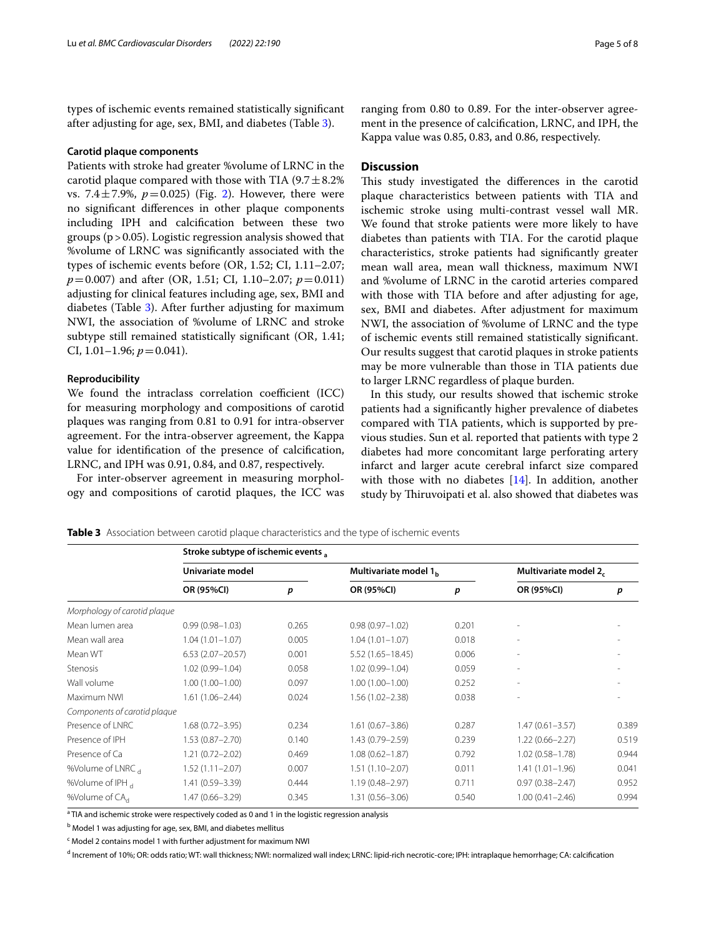types of ischemic events remained statistically signifcant after adjusting for age, sex, BMI, and diabetes (Table [3\)](#page-4-0).

#### **Carotid plaque components**

Patients with stroke had greater %volume of LRNC in the carotid plaque compared with those with TIA  $(9.7 \pm 8.2\%)$ vs. 7.4 $\pm$ 7.9%,  $p = 0.025$  $p = 0.025$  $p = 0.025$ ) (Fig. 2). However, there were no signifcant diferences in other plaque components including IPH and calcifcation between these two groups ( $p > 0.05$ ). Logistic regression analysis showed that %volume of LRNC was signifcantly associated with the types of ischemic events before (OR, 1.52; CI, 1.11–2.07; *p*=0.007) and after (OR, 1.51; CI, 1.10–2.07; *p*=0.011) adjusting for clinical features including age, sex, BMI and diabetes (Table [3](#page-4-0)). After further adjusting for maximum NWI, the association of %volume of LRNC and stroke subtype still remained statistically signifcant (OR, 1.41; CI,  $1.01-1.96; p=0.041$ .

## **Reproducibility**

We found the intraclass correlation coefficient (ICC) for measuring morphology and compositions of carotid plaques was ranging from 0.81 to 0.91 for intra-observer agreement. For the intra-observer agreement, the Kappa value for identifcation of the presence of calcifcation, LRNC, and IPH was 0.91, 0.84, and 0.87, respectively.

For inter-observer agreement in measuring morphology and compositions of carotid plaques, the ICC was

ranging from 0.80 to 0.89. For the inter-observer agreement in the presence of calcifcation, LRNC, and IPH, the Kappa value was 0.85, 0.83, and 0.86, respectively.

## **Discussion**

This study investigated the differences in the carotid plaque characteristics between patients with TIA and ischemic stroke using multi-contrast vessel wall MR. We found that stroke patients were more likely to have diabetes than patients with TIA. For the carotid plaque characteristics, stroke patients had signifcantly greater mean wall area, mean wall thickness, maximum NWI and %volume of LRNC in the carotid arteries compared with those with TIA before and after adjusting for age, sex, BMI and diabetes. After adjustment for maximum NWI, the association of %volume of LRNC and the type of ischemic events still remained statistically signifcant. Our results suggest that carotid plaques in stroke patients may be more vulnerable than those in TIA patients due to larger LRNC regardless of plaque burden.

In this study, our results showed that ischemic stroke patients had a signifcantly higher prevalence of diabetes compared with TIA patients, which is supported by previous studies. Sun et al. reported that patients with type 2 diabetes had more concomitant large perforating artery infarct and larger acute cerebral infarct size compared with those with no diabetes [\[14\]](#page-7-10). In addition, another study by Thiruvoipati et al. also showed that diabetes was

<span id="page-4-0"></span>**Table 3** Association between carotid plaque characteristics and the type of ischemic events

|                              | Stroke subtype of ischemic events, |       |                                   |       |                          |       |  |  |
|------------------------------|------------------------------------|-------|-----------------------------------|-------|--------------------------|-------|--|--|
|                              | Univariate model                   |       | Multivariate model 1 <sub>b</sub> |       | Multivariate model 2.    |       |  |  |
|                              | OR (95%CI)                         | p     | OR (95%CI)                        | p     | OR (95%CI)               | p     |  |  |
| Morphology of carotid plaque |                                    |       |                                   |       |                          |       |  |  |
| Mean lumen area              | $0.99(0.98 - 1.03)$                | 0.265 | $0.98(0.97 - 1.02)$               | 0.201 |                          |       |  |  |
| Mean wall area               | $1.04(1.01 - 1.07)$                | 0.005 | $1.04(1.01 - 1.07)$               | 0.018 | $\overline{\phantom{a}}$ |       |  |  |
| Mean WT                      | $6.53(2.07 - 20.57)$               | 0.001 | $5.52(1.65 - 18.45)$              | 0.006 | $\overline{\phantom{a}}$ |       |  |  |
| <b>Stenosis</b>              | $1.02(0.99 - 1.04)$                | 0.058 | $1.02(0.99 - 1.04)$               | 0.059 | $\overline{\phantom{a}}$ |       |  |  |
| Wall volume                  | $1.00(1.00 - 1.00)$                | 0.097 | $1.00(1.00 - 1.00)$               | 0.252 | $\overline{\phantom{a}}$ |       |  |  |
| Maximum NWI                  | $1.61(1.06 - 2.44)$                | 0.024 | $1.56(1.02 - 2.38)$               | 0.038 | ٠                        |       |  |  |
| Components of carotid plaque |                                    |       |                                   |       |                          |       |  |  |
| Presence of LNRC             | $1.68(0.72 - 3.95)$                | 0.234 | $1.61(0.67 - 3.86)$               | 0.287 | $1.47(0.61 - 3.57)$      | 0.389 |  |  |
| Presence of IPH              | $1.53(0.87 - 2.70)$                | 0.140 | $1.43(0.79 - 2.59)$               | 0.239 | $1.22(0.66 - 2.27)$      | 0.519 |  |  |
| Presence of Ca               | $1.21(0.72 - 2.02)$                | 0.469 | $1.08(0.62 - 1.87)$               | 0.792 | $1.02(0.58 - 1.78)$      | 0.944 |  |  |
| %Volume of LNRC,             | $1.52(1.11 - 2.07)$                | 0.007 | $1.51(1.10 - 2.07)$               | 0.011 | $1.41(1.01 - 1.96)$      | 0.041 |  |  |
| %Volume of IPH,              | 1.41 (0.59-3.39)                   | 0.444 | $1.19(0.48 - 2.97)$               | 0.711 | $0.97(0.38 - 2.47)$      | 0.952 |  |  |
| %Volume of CA <sub>d</sub>   | $1.47(0.66 - 3.29)$                | 0.345 | $1.31(0.56 - 3.06)$               | 0.540 | $1.00(0.41 - 2.46)$      | 0.994 |  |  |

<sup>a</sup> TIA and ischemic stroke were respectively coded as 0 and 1 in the logistic regression analysis

<sup>b</sup> Model 1 was adjusting for age, sex, BMI, and diabetes mellitus

<sup>c</sup> Model 2 contains model 1 with further adjustment for maximum NWI

<sup>d</sup> Increment of 10%; OR: odds ratio; WT: wall thickness; NWI: normalized wall index; LRNC: lipid-rich necrotic-core; IPH: intraplaque hemorrhage; CA: calcification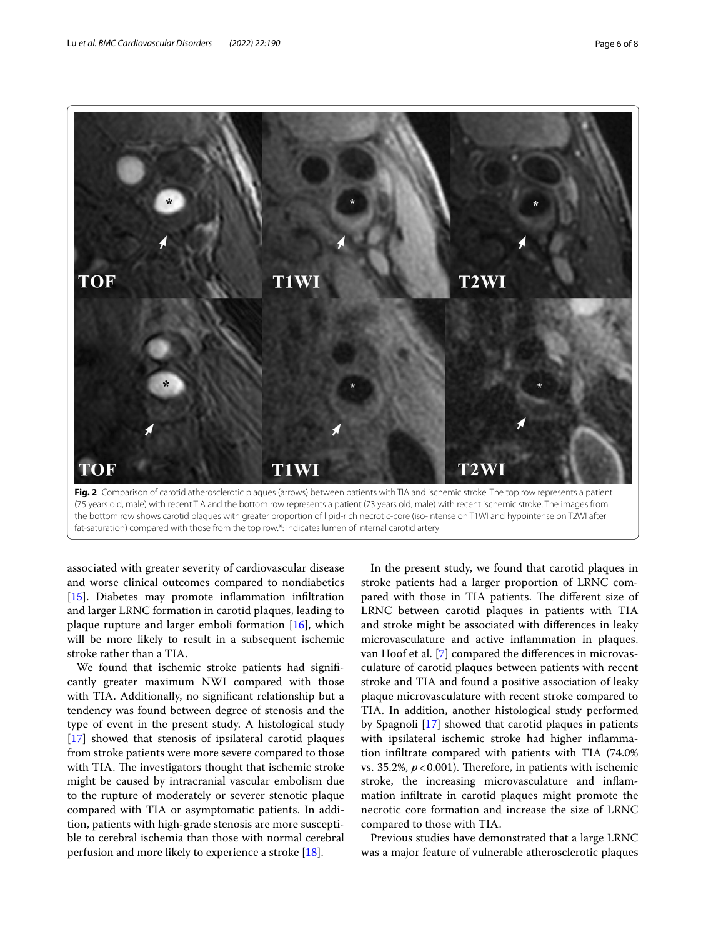

<span id="page-5-0"></span>the bottom row shows carotid plaques with greater proportion of lipid-rich necrotic-core (iso-intense on T1WI and hypointense on T2WI after fat-saturation) compared with those from the top row.\*: indicates lumen of internal carotid artery

associated with greater severity of cardiovascular disease and worse clinical outcomes compared to nondiabetics [[15\]](#page-7-11). Diabetes may promote inflammation infiltration and larger LRNC formation in carotid plaques, leading to plaque rupture and larger emboli formation [\[16\]](#page-7-12), which will be more likely to result in a subsequent ischemic stroke rather than a TIA.

We found that ischemic stroke patients had signifcantly greater maximum NWI compared with those with TIA. Additionally, no signifcant relationship but a tendency was found between degree of stenosis and the type of event in the present study. A histological study [[17\]](#page-7-13) showed that stenosis of ipsilateral carotid plaques from stroke patients were more severe compared to those with TIA. The investigators thought that ischemic stroke might be caused by intracranial vascular embolism due to the rupture of moderately or severer stenotic plaque compared with TIA or asymptomatic patients. In addition, patients with high-grade stenosis are more susceptible to cerebral ischemia than those with normal cerebral perfusion and more likely to experience a stroke [[18\]](#page-7-14).

In the present study, we found that carotid plaques in stroke patients had a larger proportion of LRNC compared with those in TIA patients. The different size of LRNC between carotid plaques in patients with TIA and stroke might be associated with diferences in leaky microvasculature and active infammation in plaques. van Hoof et al. [\[7](#page-7-3)] compared the diferences in microvasculature of carotid plaques between patients with recent stroke and TIA and found a positive association of leaky plaque microvasculature with recent stroke compared to TIA. In addition, another histological study performed by Spagnoli [\[17\]](#page-7-13) showed that carotid plaques in patients with ipsilateral ischemic stroke had higher infammation infltrate compared with patients with TIA (74.0% vs. 35.2%,  $p < 0.001$ ). Therefore, in patients with ischemic stroke, the increasing microvasculature and infammation infltrate in carotid plaques might promote the necrotic core formation and increase the size of LRNC compared to those with TIA.

Previous studies have demonstrated that a large LRNC was a major feature of vulnerable atherosclerotic plaques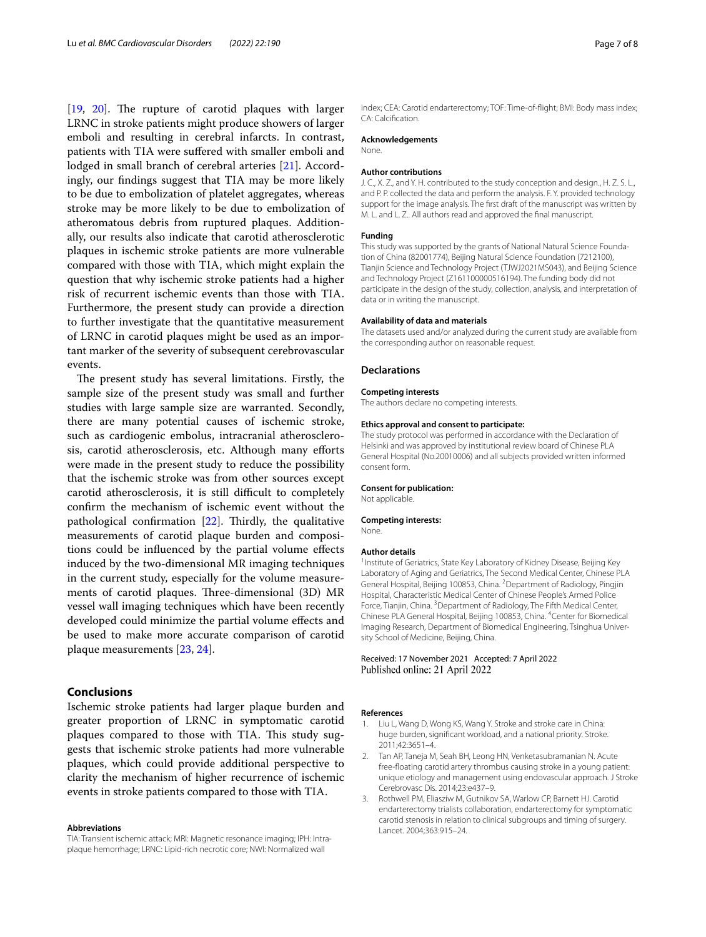$[19, 20]$  $[19, 20]$  $[19, 20]$  $[19, 20]$ . The rupture of carotid plaques with larger LRNC in stroke patients might produce showers of larger emboli and resulting in cerebral infarcts. In contrast, patients with TIA were sufered with smaller emboli and lodged in small branch of cerebral arteries [[21\]](#page-7-17). Accordingly, our fndings suggest that TIA may be more likely to be due to embolization of platelet aggregates, whereas stroke may be more likely to be due to embolization of atheromatous debris from ruptured plaques. Additionally, our results also indicate that carotid atherosclerotic plaques in ischemic stroke patients are more vulnerable compared with those with TIA, which might explain the question that why ischemic stroke patients had a higher risk of recurrent ischemic events than those with TIA. Furthermore, the present study can provide a direction to further investigate that the quantitative measurement of LRNC in carotid plaques might be used as an important marker of the severity of subsequent cerebrovascular events.

The present study has several limitations. Firstly, the sample size of the present study was small and further studies with large sample size are warranted. Secondly, there are many potential causes of ischemic stroke, such as cardiogenic embolus, intracranial atherosclerosis, carotid atherosclerosis, etc. Although many eforts were made in the present study to reduce the possibility that the ischemic stroke was from other sources except carotid atherosclerosis, it is still difficult to completely confrm the mechanism of ischemic event without the pathological confirmation  $[22]$  $[22]$ . Thirdly, the qualitative measurements of carotid plaque burden and compositions could be infuenced by the partial volume efects induced by the two-dimensional MR imaging techniques in the current study, especially for the volume measurements of carotid plaques. Three-dimensional (3D) MR vessel wall imaging techniques which have been recently developed could minimize the partial volume efects and be used to make more accurate comparison of carotid plaque measurements [[23](#page-7-19), [24\]](#page-7-20).

## **Conclusions**

Ischemic stroke patients had larger plaque burden and greater proportion of LRNC in symptomatic carotid plaques compared to those with TIA. This study suggests that ischemic stroke patients had more vulnerable plaques, which could provide additional perspective to clarity the mechanism of higher recurrence of ischemic events in stroke patients compared to those with TIA.

#### **Abbreviations**

TIA: Transient ischemic attack; MRI: Magnetic resonance imaging; IPH: Intraplaque hemorrhage; LRNC: Lipid-rich necrotic core; NWI: Normalized wall

index; CEA: Carotid endarterectomy; TOF: Time-of-fight; BMI: Body mass index; CA: Calcifcation.

## **Acknowledgements**

None.

#### **Author contributions**

J. C., X. Z., and Y. H. contributed to the study conception and design., H. Z. S. L., and P. P. collected the data and perform the analysis. F. Y. provided technology support for the image analysis. The frst draft of the manuscript was written by M. L. and L. Z.. All authors read and approved the fnal manuscript.

#### **Funding**

This study was supported by the grants of National Natural Science Foundation of China (82001774), Beijing Natural Science Foundation (7212100), Tianjin Science and Technology Project (TJWJ2021MS043), and Beijing Science and Technology Project (Z161100000516194). The funding body did not participate in the design of the study, collection, analysis, and interpretation of data or in writing the manuscript.

#### **Availability of data and materials**

The datasets used and/or analyzed during the current study are available from the corresponding author on reasonable request.

#### **Declarations**

#### **Competing interests**

The authors declare no competing interests.

#### **Ethics approval and consent to participate:**

The study protocol was performed in accordance with the Declaration of Helsinki and was approved by institutional review board of Chinese PLA General Hospital (No.20010006) and all subjects provided written informed consent form.

#### **Consent for publication:**

Not applicable.

#### **Competing interests:**

None.

#### **Author details**

<sup>1</sup> Institute of Geriatrics, State Key Laboratory of Kidney Disease, Beijing Key Laboratory of Aging and Geriatrics, The Second Medical Center, Chinese PLA General Hospital, Beijing 100853, China. <sup>2</sup> Department of Radiology, Pingjin Hospital, Characteristic Medical Center of Chinese People's Armed Police Force, Tianjin, China. <sup>3</sup> Department of Radiology, The Fifth Medical Center, Chinese PLA General Hospital, Beijing 100853, China. <sup>4</sup>Center for Biomedical Imaging Research, Department of Biomedical Engineering, Tsinghua University School of Medicine, Beijing, China.

## Received: 17 November 2021 Accepted: 7 April 2022 Published online: 21 April 2022

#### **References**

- <span id="page-6-0"></span>1. Liu L, Wang D, Wong KS, Wang Y. Stroke and stroke care in China: huge burden, signifcant workload, and a national priority. Stroke. 2011;42:3651–4.
- <span id="page-6-1"></span>2. Tan AP, Taneja M, Seah BH, Leong HN, Venketasubramanian N. Acute free-foating carotid artery thrombus causing stroke in a young patient: unique etiology and management using endovascular approach. J Stroke Cerebrovasc Dis. 2014;23:e437–9.
- <span id="page-6-2"></span>3. Rothwell PM, Eliasziw M, Gutnikov SA, Warlow CP, Barnett HJ. Carotid endarterectomy trialists collaboration, endarterectomy for symptomatic carotid stenosis in relation to clinical subgroups and timing of surgery. Lancet. 2004;363:915–24.